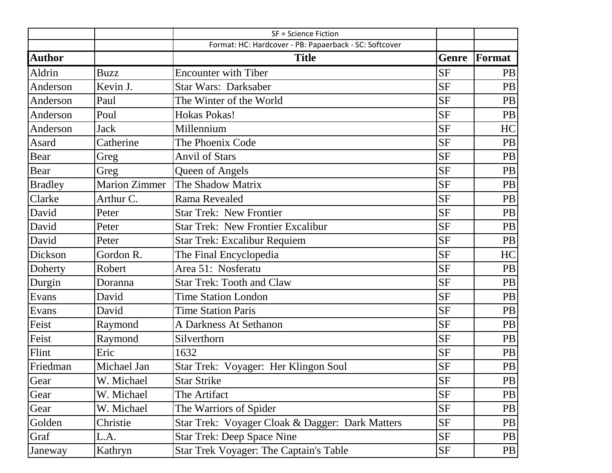|                |                      | <b>SF = Science Fiction</b>                            |           |           |
|----------------|----------------------|--------------------------------------------------------|-----------|-----------|
|                |                      | Format: HC: Hardcover - PB: Papaerback - SC: Softcover |           |           |
| <b>Author</b>  |                      | <b>Title</b>                                           | Genre     | Format    |
| Aldrin         | <b>Buzz</b>          | <b>Encounter with Tiber</b>                            | <b>SF</b> | PB        |
| Anderson       | Kevin J.             | <b>Star Wars: Darksaber</b>                            | <b>SF</b> | PB        |
| Anderson       | Paul                 | The Winter of the World                                | <b>SF</b> | PB        |
| Anderson       | Poul                 | <b>Hokas Pokas!</b>                                    | <b>SF</b> | PB        |
| Anderson       | <b>Jack</b>          | Millennium                                             | <b>SF</b> | HC        |
| Asard          | Catherine            | The Phoenix Code                                       | <b>SF</b> | PB        |
| Bear           | Greg                 | <b>Anvil of Stars</b>                                  | <b>SF</b> | PB        |
| Bear           | Greg                 | Queen of Angels                                        | <b>SF</b> | PB        |
| <b>Bradley</b> | <b>Marion Zimmer</b> | The Shadow Matrix                                      | <b>SF</b> | PB        |
| Clarke         | Arthur C.            | Rama Revealed                                          | <b>SF</b> | PB        |
| David          | Peter                | <b>Star Trek: New Frontier</b>                         | <b>SF</b> | PB        |
| David          | Peter                | <b>Star Trek: New Frontier Excalibur</b>               | <b>SF</b> | <b>PB</b> |
| David          | Peter                | <b>Star Trek: Excalibur Requiem</b>                    | <b>SF</b> | PB        |
| Dickson        | Gordon R.            | The Final Encyclopedia                                 | <b>SF</b> | HC        |
| Doherty        | Robert               | Area 51: Nosferatu                                     | <b>SF</b> | PB        |
| Durgin         | Doranna              | <b>Star Trek: Tooth and Claw</b>                       | <b>SF</b> | <b>PB</b> |
| Evans          | David                | <b>Time Station London</b>                             | <b>SF</b> | PB        |
| Evans          | David                | <b>Time Station Paris</b>                              | <b>SF</b> | <b>PB</b> |
| Feist          | Raymond              | <b>A Darkness At Sethanon</b>                          | <b>SF</b> | PB        |
| Feist          | Raymond              | Silverthorn                                            | <b>SF</b> | <b>PB</b> |
| Flint          | Eric                 | 1632                                                   | <b>SF</b> | <b>PB</b> |
| Friedman       | Michael Jan          | Star Trek: Voyager: Her Klingon Soul                   | $\rm{SF}$ | PB        |
| Gear           | W. Michael           | <b>Star Strike</b>                                     | <b>SF</b> | PB        |
| Gear           | W. Michael           | The Artifact                                           | <b>SF</b> | PB        |
| Gear           | W. Michael           | The Warriors of Spider                                 | <b>SF</b> | PB        |
| Golden         | Christie             | Star Trek: Voyager Cloak & Dagger: Dark Matters        | <b>SF</b> | PB        |
| Graf           | L.A.                 | <b>Star Trek: Deep Space Nine</b>                      | <b>SF</b> | PB        |
| Janeway        | Kathryn              | Star Trek Voyager: The Captain's Table                 | <b>SF</b> | PB        |